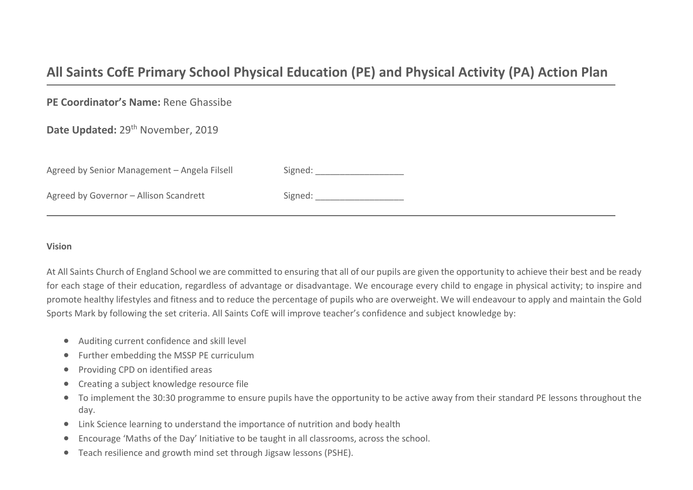# **All Saints CofE Primary School Physical Education (PE) and Physical Activity (PA) Action Plan**

**PE Coordinator's Name:** Rene Ghassibe

Date Updated: 29<sup>th</sup> November, 2019

| Agreed by Senior Management – Angela Filsell | Signed: |
|----------------------------------------------|---------|
| Agreed by Governor - Allison Scandrett       | Signed: |

# **Vision**

At All Saints Church of England School we are committed to ensuring that all of our pupils are given the opportunity to achieve their best and be ready for each stage of their education, regardless of advantage or disadvantage. We encourage every child to engage in physical activity; to inspire and promote healthy lifestyles and fitness and to reduce the percentage of pupils who are overweight. We will endeavour to apply and maintain the Gold Sports Mark by following the set criteria. All Saints CofE will improve teacher's confidence and subject knowledge by:

- Auditing current confidence and skill level
- Further embedding the MSSP PE curriculum
- Providing CPD on identified areas
- Creating a subject knowledge resource file
- To implement the 30:30 programme to ensure pupils have the opportunity to be active away from their standard PE lessons throughout the day.
- Link Science learning to understand the importance of nutrition and body health
- Encourage 'Maths of the Day' Initiative to be taught in all classrooms, across the school.
- Teach resilience and growth mind set through Jigsaw lessons (PSHE).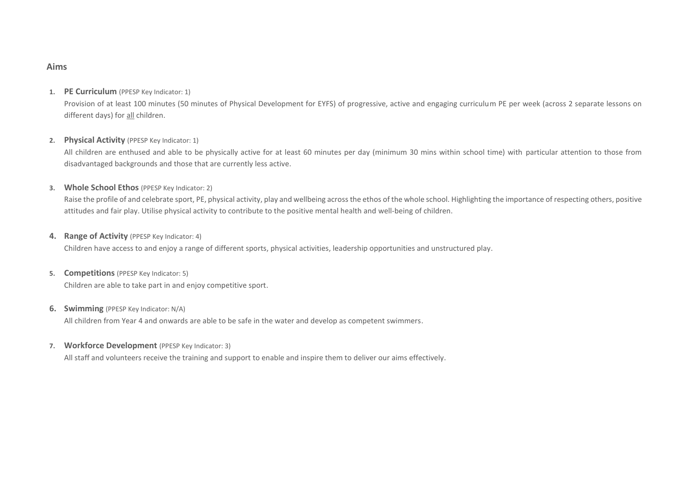#### **Aims**

#### **1. PE Curriculum** (PPESP Key Indicator: 1)

Provision of at least 100 minutes (50 minutes of Physical Development for EYFS) of progressive, active and engaging curriculum PE per week (across 2 separate lessons on different days) for all children.

## **2. Physical Activity** (PPESP Key Indicator: 1)

All children are enthused and able to be physically active for at least 60 minutes per day (minimum 30 mins within school time) with particular attention to those from disadvantaged backgrounds and those that are currently less active.

#### **3. Whole School Ethos** (PPESP Key Indicator: 2)

Raise the profile of and celebrate sport, PE, physical activity, play and wellbeing across the ethos of the whole school. Highlighting the importance of respecting others, positive attitudes and fair play. Utilise physical activity to contribute to the positive mental health and well-being of children.

#### **4. Range of Activity** (PPESP Key Indicator: 4)

Children have access to and enjoy a range of different sports, physical activities, leadership opportunities and unstructured play.

#### **5. Competitions** (PPESP Key Indicator: 5)

Children are able to take part in and enjoy competitive sport.

#### **6. Swimming** (PPESP Key Indicator: N/A)

All children from Year 4 and onwards are able to be safe in the water and develop as competent swimmers.

## **7. Workforce Development** (PPESP Key Indicator: 3)

All staff and volunteers receive the training and support to enable and inspire them to deliver our aims effectively.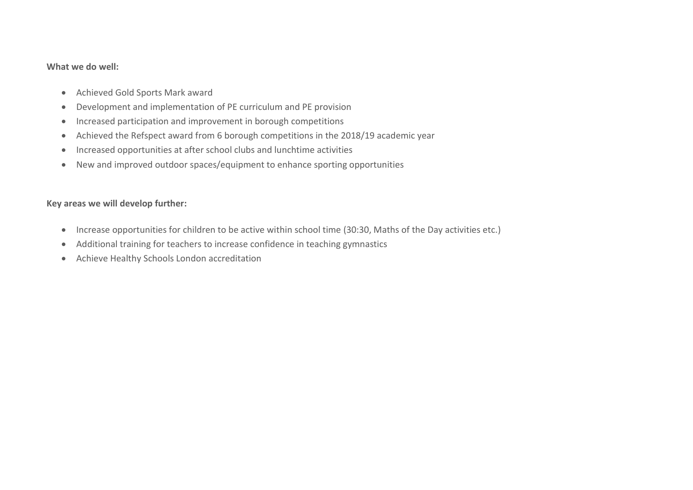# **What we do well:**

- Achieved Gold Sports Mark award
- Development and implementation of PE curriculum and PE provision
- Increased participation and improvement in borough competitions
- Achieved the Refspect award from 6 borough competitions in the 2018/19 academic year
- Increased opportunities at after school clubs and lunchtime activities
- New and improved outdoor spaces/equipment to enhance sporting opportunities

# **Key areas we will develop further:**

- Increase opportunities for children to be active within school time (30:30, Maths of the Day activities etc.)
- Additional training for teachers to increase confidence in teaching gymnastics
- Achieve Healthy Schools London accreditation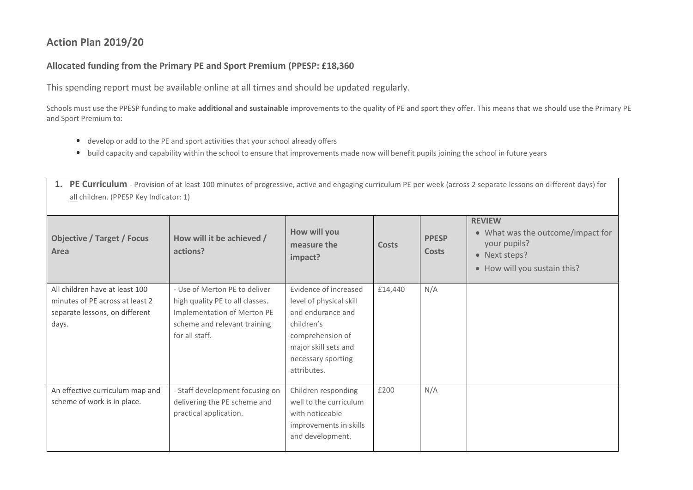# **Action Plan 2019/20**

# **Allocated funding from the Primary PE and Sport Premium (PPESP: £18,360**

This spending report must be available online at all times and should be updated regularly.

Schools must use the PPESP funding to make **additional and sustainable** improvements to the quality of PE and sport they offer. This means that we should use the Primary PE and Sport Premium to:

- develop or add to the PE and sport activities that your school already offers
- build capacity and capability within the school to ensure that improvements made now will benefit pupils joining the school in future years

| 1. PE Curriculum - Provision of at least 100 minutes of progressive, active and engaging curriculum PE per week (across 2 separate lessons on different days) for<br>all children. (PPESP Key Indicator: 1) |                                                                                                                                                   |                                                                                                                                                                      |              |                              |                                                                                                                     |  |
|-------------------------------------------------------------------------------------------------------------------------------------------------------------------------------------------------------------|---------------------------------------------------------------------------------------------------------------------------------------------------|----------------------------------------------------------------------------------------------------------------------------------------------------------------------|--------------|------------------------------|---------------------------------------------------------------------------------------------------------------------|--|
| <b>Objective / Target / Focus</b><br>Area                                                                                                                                                                   | How will it be achieved /<br>actions?                                                                                                             | How will you<br>measure the<br>impact?                                                                                                                               | <b>Costs</b> | <b>PPESP</b><br><b>Costs</b> | <b>REVIEW</b><br>• What was the outcome/impact for<br>your pupils?<br>• Next steps?<br>• How will you sustain this? |  |
| All children have at least 100<br>minutes of PE across at least 2<br>separate lessons, on different<br>days.                                                                                                | - Use of Merton PE to deliver<br>high quality PE to all classes.<br>Implementation of Merton PE<br>scheme and relevant training<br>for all staff. | Evidence of increased<br>level of physical skill<br>and endurance and<br>children's<br>comprehension of<br>major skill sets and<br>necessary sporting<br>attributes. | £14,440      | N/A                          |                                                                                                                     |  |
| An effective curriculum map and<br>scheme of work is in place.                                                                                                                                              | - Staff development focusing on<br>delivering the PE scheme and<br>practical application.                                                         | Children responding<br>well to the curriculum<br>with noticeable<br>improvements in skills<br>and development.                                                       | £200         | N/A                          |                                                                                                                     |  |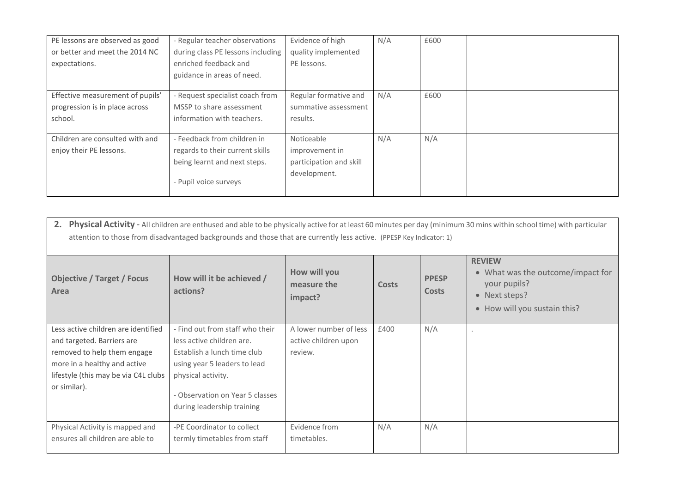| PE lessons are observed as good  | - Regular teacher observations    | Evidence of high        | N/A | £600 |  |
|----------------------------------|-----------------------------------|-------------------------|-----|------|--|
| or better and meet the 2014 NC   | during class PE lessons including | quality implemented     |     |      |  |
| expectations.                    | enriched feedback and             | PE lessons.             |     |      |  |
|                                  | guidance in areas of need.        |                         |     |      |  |
|                                  |                                   |                         |     |      |  |
| Effective measurement of pupils' | - Request specialist coach from   | Regular formative and   | N/A | £600 |  |
| progression is in place across   | MSSP to share assessment          | summative assessment    |     |      |  |
| school.                          | information with teachers.        | results.                |     |      |  |
|                                  |                                   |                         |     |      |  |
| Children are consulted with and  | - Feedback from children in       | Noticeable              | N/A | N/A  |  |
| enjoy their PE lessons.          | regards to their current skills   | improvement in          |     |      |  |
|                                  | being learnt and next steps.      | participation and skill |     |      |  |
|                                  | - Pupil voice surveys             | development.            |     |      |  |

| 2.<br>Physical Activity - All children are enthused and able to be physically active for at least 60 minutes per day (minimum 30 mins within school time) with particular<br>attention to those from disadvantaged backgrounds and those that are currently less active. (PPESP Key Indicator: 1) |                                                               |                                        |       |                              |                                                                                                                     |  |
|---------------------------------------------------------------------------------------------------------------------------------------------------------------------------------------------------------------------------------------------------------------------------------------------------|---------------------------------------------------------------|----------------------------------------|-------|------------------------------|---------------------------------------------------------------------------------------------------------------------|--|
| <b>Objective / Target / Focus</b><br>Area                                                                                                                                                                                                                                                         | How will it be achieved /<br>actions?                         | How will you<br>measure the<br>impact? | Costs | <b>PPESP</b><br><b>Costs</b> | <b>REVIEW</b><br>• What was the outcome/impact for<br>your pupils?<br>• Next steps?<br>• How will you sustain this? |  |
| Less active children are identified                                                                                                                                                                                                                                                               | - Find out from staff who their                               | A lower number of less                 | £400  | N/A                          |                                                                                                                     |  |
| and targeted. Barriers are                                                                                                                                                                                                                                                                        | less active children are.                                     | active children upon                   |       |                              |                                                                                                                     |  |
| removed to help them engage                                                                                                                                                                                                                                                                       | Establish a lunch time club                                   | review.                                |       |                              |                                                                                                                     |  |
| more in a healthy and active                                                                                                                                                                                                                                                                      | using year 5 leaders to lead                                  |                                        |       |                              |                                                                                                                     |  |
| lifestyle (this may be via C4L clubs                                                                                                                                                                                                                                                              | physical activity.                                            |                                        |       |                              |                                                                                                                     |  |
| or similar).                                                                                                                                                                                                                                                                                      | - Observation on Year 5 classes<br>during leadership training |                                        |       |                              |                                                                                                                     |  |
| Physical Activity is mapped and                                                                                                                                                                                                                                                                   | -PE Coordinator to collect                                    | Evidence from                          | N/A   | N/A                          |                                                                                                                     |  |
| ensures all children are able to                                                                                                                                                                                                                                                                  | termly timetables from staff                                  | timetables.                            |       |                              |                                                                                                                     |  |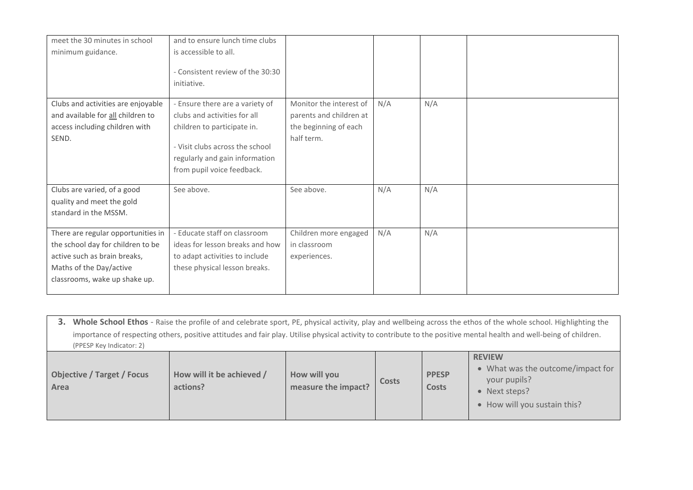| meet the 30 minutes in school<br>minimum guidance.                                                                                                                  | and to ensure lunch time clubs<br>is accessible to all.<br>- Consistent review of the 30:30<br>initiative.                                                                                        |                                                                                           |     |     |  |
|---------------------------------------------------------------------------------------------------------------------------------------------------------------------|---------------------------------------------------------------------------------------------------------------------------------------------------------------------------------------------------|-------------------------------------------------------------------------------------------|-----|-----|--|
| Clubs and activities are enjoyable<br>and available for all children to<br>access including children with<br>SEND.                                                  | - Ensure there are a variety of<br>clubs and activities for all<br>children to participate in.<br>- Visit clubs across the school<br>regularly and gain information<br>from pupil voice feedback. | Monitor the interest of<br>parents and children at<br>the beginning of each<br>half term. | N/A | N/A |  |
| Clubs are varied, of a good<br>quality and meet the gold<br>standard in the MSSM.                                                                                   | See above.                                                                                                                                                                                        | See above.                                                                                | N/A | N/A |  |
| There are regular opportunities in<br>the school day for children to be<br>active such as brain breaks,<br>Maths of the Day/active<br>classrooms, wake up shake up. | - Educate staff on classroom<br>ideas for lesson breaks and how<br>to adapt activities to include<br>these physical lesson breaks.                                                                | Children more engaged<br>in classroom<br>experiences.                                     | N/A | N/A |  |

**3. Whole School Ethos** - Raise the profile of and celebrate sport, PE, physical activity, play and wellbeing across the ethos of the whole school. Highlighting the importance of respecting others, positive attitudes and fair play. Utilise physical activity to contribute to the positive mental health and well-being of children. (PPESP Key Indicator: 2)

| <b>Objective / Target / Focus</b><br>Area | How will it be achieved /<br>actions? | How will you<br>measure the impact? | Costs | <b>PPESP</b><br><b>Costs</b> | <b>REVIEW</b><br>• What was the outcome/impact for<br>your pupils?<br>• Next steps?<br>• How will you sustain this? |
|-------------------------------------------|---------------------------------------|-------------------------------------|-------|------------------------------|---------------------------------------------------------------------------------------------------------------------|
|-------------------------------------------|---------------------------------------|-------------------------------------|-------|------------------------------|---------------------------------------------------------------------------------------------------------------------|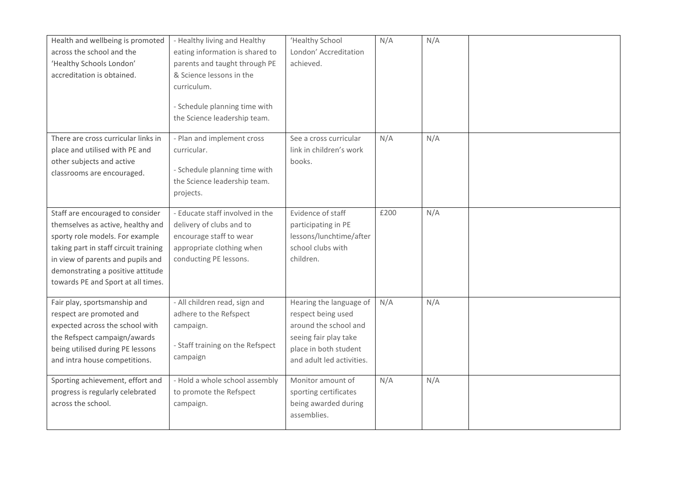| Health and wellbeing is promoted<br>across the school and the<br>'Healthy Schools London'<br>accreditation is obtained.                                                                                                                                           | - Healthy living and Healthy<br>eating information is shared to<br>parents and taught through PE<br>& Science lessons in the<br>curriculum.<br>- Schedule planning time with<br>the Science leadership team. | 'Healthy School<br>London' Accreditation<br>achieved.                                                                                                 | N/A  | N/A |  |
|-------------------------------------------------------------------------------------------------------------------------------------------------------------------------------------------------------------------------------------------------------------------|--------------------------------------------------------------------------------------------------------------------------------------------------------------------------------------------------------------|-------------------------------------------------------------------------------------------------------------------------------------------------------|------|-----|--|
| There are cross curricular links in<br>place and utilised with PE and<br>other subjects and active<br>classrooms are encouraged.                                                                                                                                  | - Plan and implement cross<br>curricular.<br>- Schedule planning time with<br>the Science leadership team.<br>projects.                                                                                      | See a cross curricular<br>link in children's work<br>books.                                                                                           | N/A  | N/A |  |
| Staff are encouraged to consider<br>themselves as active, healthy and<br>sporty role models. For example<br>taking part in staff circuit training<br>in view of parents and pupils and<br>demonstrating a positive attitude<br>towards PE and Sport at all times. | - Educate staff involved in the<br>delivery of clubs and to<br>encourage staff to wear<br>appropriate clothing when<br>conducting PE lessons.                                                                | Evidence of staff<br>participating in PE<br>lessons/lunchtime/after<br>school clubs with<br>children.                                                 | £200 | N/A |  |
| Fair play, sportsmanship and<br>respect are promoted and<br>expected across the school with<br>the Refspect campaign/awards<br>being utilised during PE lessons<br>and intra house competitions.                                                                  | - All children read, sign and<br>adhere to the Refspect<br>campaign.<br>- Staff training on the Refspect<br>campaign                                                                                         | Hearing the language of<br>respect being used<br>around the school and<br>seeing fair play take<br>place in both student<br>and adult led activities. | N/A  | N/A |  |
| Sporting achievement, effort and<br>progress is regularly celebrated<br>across the school.                                                                                                                                                                        | - Hold a whole school assembly<br>to promote the Refspect<br>campaign.                                                                                                                                       | Monitor amount of<br>sporting certificates<br>being awarded during<br>assemblies.                                                                     | N/A  | N/A |  |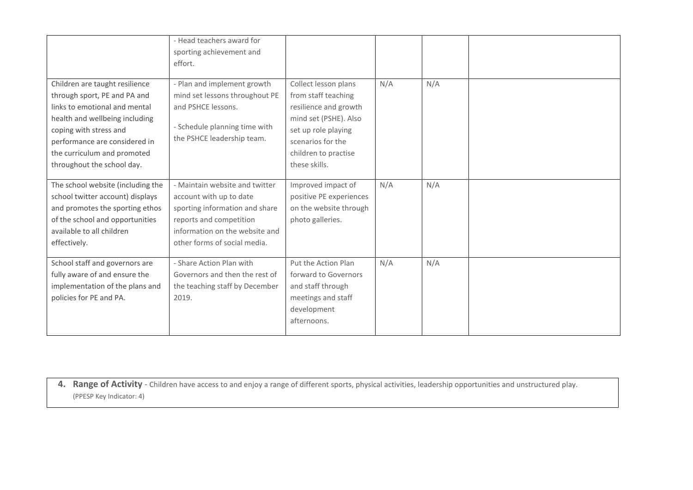|                                                                                                                                                                                                                                                           | - Head teachers award for<br>sporting achievement and<br>effort.                                                                                                                         |                                                                                                                                                                                    |     |     |  |
|-----------------------------------------------------------------------------------------------------------------------------------------------------------------------------------------------------------------------------------------------------------|------------------------------------------------------------------------------------------------------------------------------------------------------------------------------------------|------------------------------------------------------------------------------------------------------------------------------------------------------------------------------------|-----|-----|--|
| Children are taught resilience<br>through sport, PE and PA and<br>links to emotional and mental<br>health and wellbeing including<br>coping with stress and<br>performance are considered in<br>the curriculum and promoted<br>throughout the school day. | - Plan and implement growth<br>mind set lessons throughout PE<br>and PSHCE lessons.<br>- Schedule planning time with<br>the PSHCE leadership team.                                       | Collect lesson plans<br>from staff teaching<br>resilience and growth<br>mind set (PSHE). Also<br>set up role playing<br>scenarios for the<br>children to practise<br>these skills. | N/A | N/A |  |
| The school website (including the<br>school twitter account) displays<br>and promotes the sporting ethos<br>of the school and opportunities<br>available to all children<br>effectively.                                                                  | - Maintain website and twitter<br>account with up to date<br>sporting information and share<br>reports and competition<br>information on the website and<br>other forms of social media. | Improved impact of<br>positive PE experiences<br>on the website through<br>photo galleries.                                                                                        | N/A | N/A |  |
| School staff and governors are<br>fully aware of and ensure the<br>implementation of the plans and<br>policies for PE and PA.                                                                                                                             | - Share Action Plan with<br>Governors and then the rest of<br>the teaching staff by December<br>2019.                                                                                    | Put the Action Plan<br>forward to Governors<br>and staff through<br>meetings and staff<br>development<br>afternoons.                                                               | N/A | N/A |  |

**4. Range of Activity** - Children have access to and enjoy a range of different sports, physical activities, leadership opportunities and unstructured play. (PPESP Key Indicator: 4)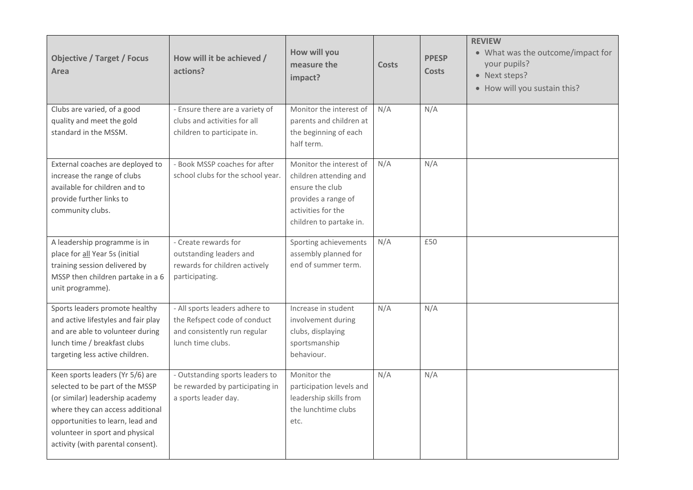| <b>Objective / Target / Focus</b><br>Area                                                                                                                                                                                                              | How will it be achieved /<br>actions?                                                                               | How will you<br>measure the<br>impact?                                                                                                       | <b>Costs</b> | <b>PPESP</b><br><b>Costs</b> | <b>REVIEW</b><br>• What was the outcome/impact for<br>your pupils?<br>• Next steps?<br>• How will you sustain this? |
|--------------------------------------------------------------------------------------------------------------------------------------------------------------------------------------------------------------------------------------------------------|---------------------------------------------------------------------------------------------------------------------|----------------------------------------------------------------------------------------------------------------------------------------------|--------------|------------------------------|---------------------------------------------------------------------------------------------------------------------|
| Clubs are varied, of a good<br>quality and meet the gold<br>standard in the MSSM.                                                                                                                                                                      | - Ensure there are a variety of<br>clubs and activities for all<br>children to participate in.                      | Monitor the interest of<br>parents and children at<br>the beginning of each<br>half term.                                                    | N/A          | N/A                          |                                                                                                                     |
| External coaches are deployed to<br>increase the range of clubs<br>available for children and to<br>provide further links to<br>community clubs.                                                                                                       | - Book MSSP coaches for after<br>school clubs for the school year.                                                  | Monitor the interest of<br>children attending and<br>ensure the club<br>provides a range of<br>activities for the<br>children to partake in. | N/A          | N/A                          |                                                                                                                     |
| A leadership programme is in<br>place for all Year 5s (initial<br>training session delivered by<br>MSSP then children partake in a 6<br>unit programme).                                                                                               | - Create rewards for<br>outstanding leaders and<br>rewards for children actively<br>participating.                  | Sporting achievements<br>assembly planned for<br>end of summer term.                                                                         | N/A          | £50                          |                                                                                                                     |
| Sports leaders promote healthy<br>and active lifestyles and fair play<br>and are able to volunteer during<br>lunch time / breakfast clubs<br>targeting less active children.                                                                           | - All sports leaders adhere to<br>the Refspect code of conduct<br>and consistently run regular<br>lunch time clubs. | Increase in student<br>involvement during<br>clubs, displaying<br>sportsmanship<br>behaviour.                                                | N/A          | N/A                          |                                                                                                                     |
| Keen sports leaders (Yr 5/6) are<br>selected to be part of the MSSP<br>(or similar) leadership academy<br>where they can access additional<br>opportunities to learn, lead and<br>volunteer in sport and physical<br>activity (with parental consent). | - Outstanding sports leaders to<br>be rewarded by participating in<br>a sports leader day.                          | Monitor the<br>participation levels and<br>leadership skills from<br>the lunchtime clubs<br>etc.                                             | N/A          | N/A                          |                                                                                                                     |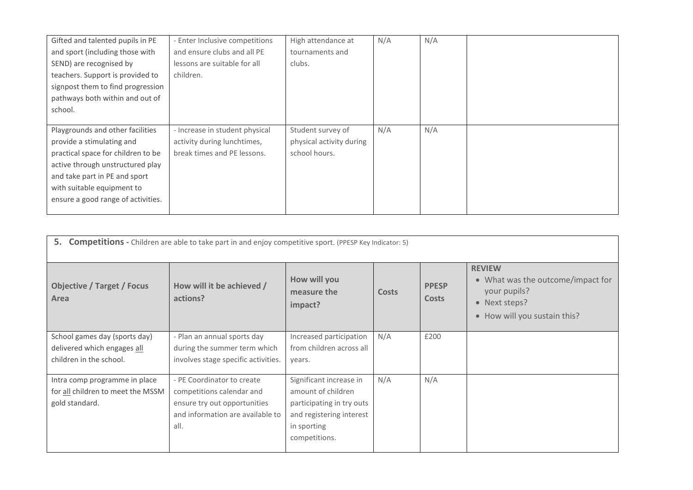| Gifted and talented pupils in PE   | - Enter Inclusive competitions | High attendance at       | N/A | N/A |  |
|------------------------------------|--------------------------------|--------------------------|-----|-----|--|
| and sport (including those with    | and ensure clubs and all PE    | tournaments and          |     |     |  |
| SEND) are recognised by            | lessons are suitable for all   | clubs.                   |     |     |  |
| teachers. Support is provided to   | children.                      |                          |     |     |  |
| signpost them to find progression  |                                |                          |     |     |  |
| pathways both within and out of    |                                |                          |     |     |  |
| school.                            |                                |                          |     |     |  |
|                                    |                                |                          |     |     |  |
| Playgrounds and other facilities   | - Increase in student physical | Student survey of        | N/A | N/A |  |
| provide a stimulating and          | activity during lunchtimes,    | physical activity during |     |     |  |
| practical space for children to be | break times and PE lessons.    | school hours.            |     |     |  |
| active through unstructured play   |                                |                          |     |     |  |
| and take part in PE and sport      |                                |                          |     |     |  |
| with suitable equipment to         |                                |                          |     |     |  |
|                                    |                                |                          |     |     |  |
| ensure a good range of activities. |                                |                          |     |     |  |

| 5.<br><b>Competitions</b> - Children are able to take part in and enjoy competitive sport. (PPESP Key Indicator: 5) |                                       |                                        |       |                              |                                                                                                                     |  |
|---------------------------------------------------------------------------------------------------------------------|---------------------------------------|----------------------------------------|-------|------------------------------|---------------------------------------------------------------------------------------------------------------------|--|
| <b>Objective / Target / Focus</b><br>Area                                                                           | How will it be achieved /<br>actions? | How will you<br>measure the<br>impact? | Costs | <b>PPESP</b><br><b>Costs</b> | <b>REVIEW</b><br>• What was the outcome/impact for<br>your pupils?<br>• Next steps?<br>• How will you sustain this? |  |
| School games day (sports day)                                                                                       | - Plan an annual sports day           | Increased participation                | N/A   | £200                         |                                                                                                                     |  |
| delivered which engages all                                                                                         | during the summer term which          | from children across all               |       |                              |                                                                                                                     |  |
| children in the school.                                                                                             | involves stage specific activities.   | years.                                 |       |                              |                                                                                                                     |  |
| Intra comp programme in place                                                                                       | - PE Coordinator to create            | Significant increase in                | N/A   | N/A                          |                                                                                                                     |  |
| for all children to meet the MSSM                                                                                   | competitions calendar and             | amount of children                     |       |                              |                                                                                                                     |  |
| gold standard.                                                                                                      | ensure try out opportunities          | participating in try outs              |       |                              |                                                                                                                     |  |
|                                                                                                                     | and information are available to      | and registering interest               |       |                              |                                                                                                                     |  |
|                                                                                                                     | all.                                  | in sporting                            |       |                              |                                                                                                                     |  |
|                                                                                                                     |                                       | competitions.                          |       |                              |                                                                                                                     |  |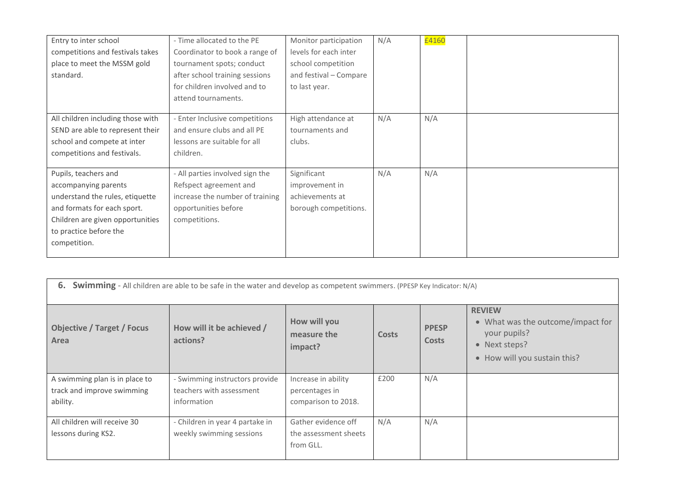| Entry to inter school<br>competitions and festivals takes<br>place to meet the MSSM gold<br>standard.                                                                                        | - Time allocated to the PE<br>Coordinator to book a range of<br>tournament spots; conduct<br>after school training sessions<br>for children involved and to<br>attend tournaments. | Monitor participation<br>levels for each inter<br>school competition<br>and festival - Compare<br>to last year. | N/A | £4160 |  |
|----------------------------------------------------------------------------------------------------------------------------------------------------------------------------------------------|------------------------------------------------------------------------------------------------------------------------------------------------------------------------------------|-----------------------------------------------------------------------------------------------------------------|-----|-------|--|
| All children including those with<br>SEND are able to represent their<br>school and compete at inter<br>competitions and festivals.                                                          | - Enter Inclusive competitions<br>and ensure clubs and all PE<br>lessons are suitable for all<br>children.                                                                         | High attendance at<br>tournaments and<br>clubs.                                                                 | N/A | N/A   |  |
| Pupils, teachers and<br>accompanying parents<br>understand the rules, etiquette<br>and formats for each sport.<br>Children are given opportunities<br>to practice before the<br>competition. | - All parties involved sign the<br>Refspect agreement and<br>increase the number of training<br>opportunities before<br>competitions.                                              | Significant<br>improvement in<br>achievements at<br>borough competitions.                                       | N/A | N/A   |  |

| 6.<br><b>Swimming</b> - All children are able to be safe in the water and develop as competent swimmers. (PPESP Key Indicator: N/A) |                                       |                                        |              |                              |                                                                                                                     |
|-------------------------------------------------------------------------------------------------------------------------------------|---------------------------------------|----------------------------------------|--------------|------------------------------|---------------------------------------------------------------------------------------------------------------------|
| <b>Objective / Target / Focus</b><br>Area                                                                                           | How will it be achieved /<br>actions? | How will you<br>measure the<br>impact? | <b>Costs</b> | <b>PPESP</b><br><b>Costs</b> | <b>REVIEW</b><br>• What was the outcome/impact for<br>your pupils?<br>• Next steps?<br>• How will you sustain this? |
| A swimming plan is in place to                                                                                                      | - Swimming instructors provide        | Increase in ability                    | £200         | N/A                          |                                                                                                                     |
| track and improve swimming                                                                                                          | teachers with assessment              | percentages in                         |              |                              |                                                                                                                     |
| ability.                                                                                                                            | information                           | comparison to 2018.                    |              |                              |                                                                                                                     |
| All children will receive 30                                                                                                        | - Children in year 4 partake in       | Gather evidence off                    | N/A          | N/A                          |                                                                                                                     |
| lessons during KS2.                                                                                                                 | weekly swimming sessions              | the assessment sheets                  |              |                              |                                                                                                                     |
|                                                                                                                                     |                                       | from GLL.                              |              |                              |                                                                                                                     |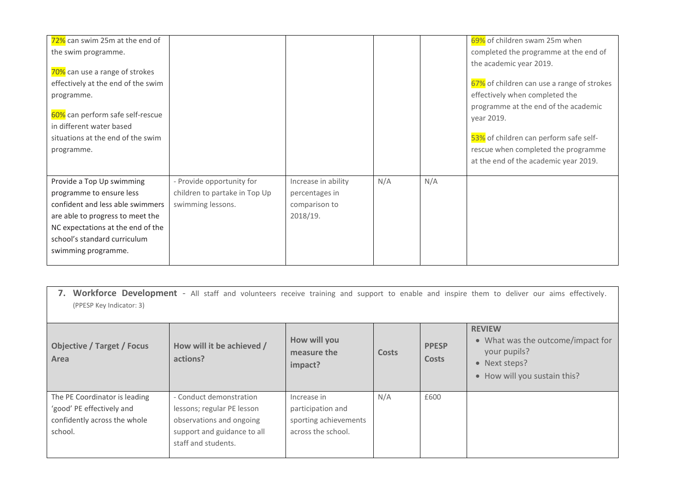| 72% can swim 25m at the end of     |                               |                     |     |     | 69% of children swam 25m when              |
|------------------------------------|-------------------------------|---------------------|-----|-----|--------------------------------------------|
| the swim programme.                |                               |                     |     |     | completed the programme at the end of      |
|                                    |                               |                     |     |     | the academic year 2019.                    |
| 70% can use a range of strokes     |                               |                     |     |     |                                            |
| effectively at the end of the swim |                               |                     |     |     | 67% of children can use a range of strokes |
| programme.                         |                               |                     |     |     | effectively when completed the             |
|                                    |                               |                     |     |     | programme at the end of the academic       |
| 60% can perform safe self-rescue   |                               |                     |     |     | year 2019.                                 |
| in different water based           |                               |                     |     |     |                                            |
| situations at the end of the swim  |                               |                     |     |     | 53% of children can perform safe self-     |
| programme.                         |                               |                     |     |     | rescue when completed the programme        |
|                                    |                               |                     |     |     | at the end of the academic year 2019.      |
| Provide a Top Up swimming          | - Provide opportunity for     | Increase in ability | N/A | N/A |                                            |
| programme to ensure less           | children to partake in Top Up | percentages in      |     |     |                                            |
| confident and less able swimmers   | swimming lessons.             | comparison to       |     |     |                                            |
| are able to progress to meet the   |                               | 2018/19.            |     |     |                                            |
| NC expectations at the end of the  |                               |                     |     |     |                                            |
| school's standard curriculum       |                               |                     |     |     |                                            |
| swimming programme.                |                               |                     |     |     |                                            |
|                                    |                               |                     |     |     |                                            |

| 7. Workforce Development - All staff and volunteers receive training and support to enable and inspire them to deliver our aims effectively.<br>(PPESP Key Indicator: 3) |                                                                                                                                         |                                                                                 |       |                              |                                                                                                                     |
|--------------------------------------------------------------------------------------------------------------------------------------------------------------------------|-----------------------------------------------------------------------------------------------------------------------------------------|---------------------------------------------------------------------------------|-------|------------------------------|---------------------------------------------------------------------------------------------------------------------|
| <b>Objective / Target / Focus</b><br>Area                                                                                                                                | How will it be achieved /<br>actions?                                                                                                   | How will you<br>measure the<br>impact?                                          | Costs | <b>PPESP</b><br><b>Costs</b> | <b>REVIEW</b><br>• What was the outcome/impact for<br>your pupils?<br>• Next steps?<br>• How will you sustain this? |
| The PE Coordinator is leading<br>'good' PE effectively and<br>confidently across the whole<br>school.                                                                    | - Conduct demonstration<br>lessons; regular PE lesson<br>observations and ongoing<br>support and guidance to all<br>staff and students. | Increase in<br>participation and<br>sporting achievements<br>across the school. | N/A   | £600                         |                                                                                                                     |